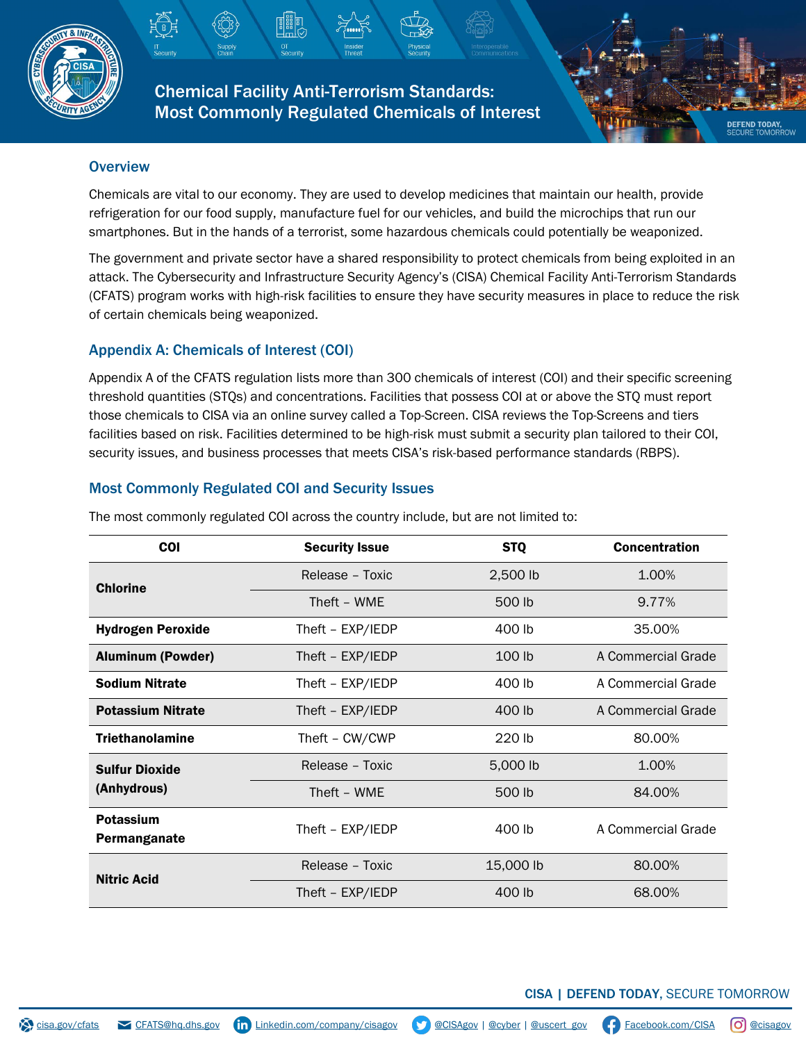

Chemical Facility Anti-Terrorism Standards: Most Commonly Regulated Chemicals of Interest



Chemicals are vital to our economy. They are used to develop medicines that maintain our health, provide refrigeration for our food supply, manufacture fuel for our vehicles, and build the microchips that run our smartphones. But in the hands of a terrorist, some hazardous chemicals could potentially be weaponized.

The government and private sector have a shared responsibility to protect chemicals from being exploited in an attack. The Cybersecurity and Infrastructure Security Agency's (CISA) Chemical Facility Anti-Terrorism Standards (CFATS) program works with high-risk facilities to ensure they have security measures in place to reduce the risk of certain chemicals being weaponized.

## Appendix A: Chemicals of Interest (COI)

Appendix A of the CFATS regulation lists more than 300 chemicals of interest (COI) and their specific screening threshold quantities (STQs) and concentrations. Facilities that possess COI at or above the STQ must report those chemicals to CISA via an online survey called a Top-Screen. CISA reviews the Top-Screens and tiers facilities based on risk. Facilities determined to be high-risk must submit a security plan tailored to their COI, security issues, and business processes that meets CISA's risk-based performance standards (RBPS).

## Most Commonly Regulated COI and Security Issues

| <b>COI</b>                           | <b>Security Issue</b> | <b>STQ</b> | <b>Concentration</b> |
|--------------------------------------|-----------------------|------------|----------------------|
| <b>Chlorine</b>                      | Release - Toxic       | 2,500 lb   | 1.00%                |
|                                      | Theft - WME           | 500 lb     | 9.77%                |
| <b>Hydrogen Peroxide</b>             | Theft - EXP/IEDP      | 400 lb     | 35.00%               |
| <b>Aluminum (Powder)</b>             | Theft - EXP/IEDP      | 100 lb     | A Commercial Grade   |
| <b>Sodium Nitrate</b>                | Theft - EXP/IEDP      | 400 lb     | A Commercial Grade   |
| <b>Potassium Nitrate</b>             | Theft - EXP/IEDP      | 400 lb     | A Commercial Grade   |
| <b>Triethanolamine</b>               | Theft - CW/CWP        | 220 lb     | 80.00%               |
| <b>Sulfur Dioxide</b><br>(Anhydrous) | Release - Toxic       | 5,000 lb   | 1.00%                |
|                                      | Theft - WME           | 500 lb     | 84.00%               |
| <b>Potassium</b><br>Permanganate     | Theft - EXP/IEDP      | 400 lb     | A Commercial Grade   |
| <b>Nitric Acid</b>                   | Release - Toxic       | 15,000 lb  | 80.00%               |
|                                      | Theft - EXP/IEDP      | 400 lb     | 68.00%               |

The most commonly regulated COI across the country include, but are not limited to:

## CISA | DEFEND TODAY, SECURE TOMORROW

**DEFEND TODAY**